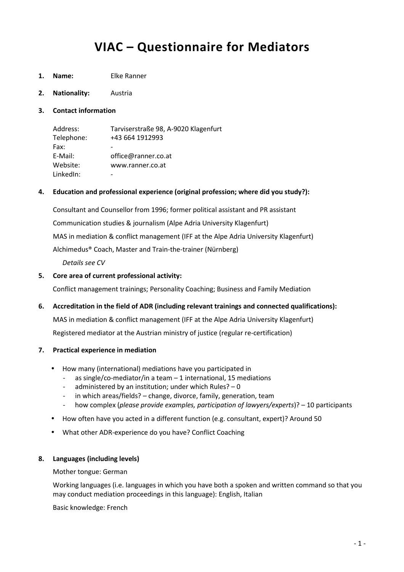# **VIAC – Questionnaire for Mediators**

- **1. Name:** Elke Ranner
- **2. Nationality:** Austria
- **3. Contact information**

| Address:   | Tarviserstraße 98, A-9020 Klagenfurt |
|------------|--------------------------------------|
| Telephone: | +43 664 1912993                      |
| Fax:       |                                      |
| E-Mail:    | office@ranner.co.at                  |
| Website:   | www.ranner.co.at                     |
| LinkedIn:  |                                      |

#### **4. Education and professional experience (original profession; where did you study?):**

 Consultant and Counsellor from 1996; former political assistant and PR assistant Communication studies & journalism (Alpe Adria University Klagenfurt) MAS in mediation & conflict management (IFF at the Alpe Adria University Klagenfurt) Alchimedus® Coach, Master and Train-the-trainer (Nürnberg)

 *Details see CV* 

#### **5. Core area of current professional activity:**

Conflict management trainings; Personality Coaching; Business and Family Mediation

**6. Accreditation in the field of ADR (including relevant trainings and connected qualifications):** 

MAS in mediation & conflict management (IFF at the Alpe Adria University Klagenfurt)

Registered mediator at the Austrian ministry of justice (regular re-certification)

#### **7. Practical experience in mediation**

- How many (international) mediations have you participated in
	- as single/co-mediator/in a team  $-1$  international, 15 mediations
	- administered by an institution; under which Rules?  $-0$
	- in which areas/fields? change, divorce, family, generation, team
	- how complex (*please provide examples, participation of lawyers/experts*)? 10 participants
- How often have you acted in a different function (e.g. consultant, expert)? Around 50
- What other ADR-experience do you have? Conflict Coaching

#### **8. Languages (including levels)**

Mother tongue: German

Working languages (i.e. languages in which you have both a spoken and written command so that you may conduct mediation proceedings in this language): English, Italian

Basic knowledge: French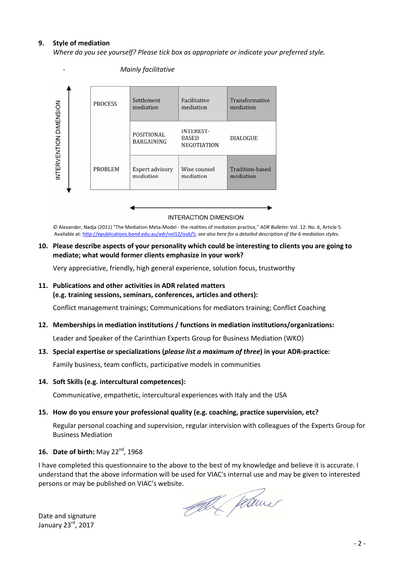#### **9. Style of mediation**

*Where do you see yourself? Please tick box as appropriate or indicate your preferred style.* 



- *Mainly facilitative* 

#### **INTERACTION DIMENSION**

*©* Alexander, Nadja (2011) "The Mediation Meta-Model - the realities of mediation practice," *ADR Bulletin*: Vol. 12: No. 6, Article 5. Available at: http://epublications.bond.edu.au/adr/vol12/iss6/5; *see also here for a detailed description of the 6 mediation styles.* 

#### **10. Please describe aspects of your personality which could be interesting to clients you are going to mediate; what would former clients emphasize in your work?**

Very appreciative, friendly, high general experience, solution focus, trustworthy

#### **11. Publications and other activities in ADR related matters**

#### **(e.g. training sessions, seminars, conferences, articles and others):**

Conflict management trainings; Communications for mediators training; Conflict Coaching

#### **12. Memberships in mediation institutions / functions in mediation institutions/organizations:**

Leader and Speaker of the Carinthian Experts Group for Business Mediation (WKO)

#### **13. Special expertise or specializations (***please list a maximum of three***) in your ADR-practice:**

Family business, team conflicts, participative models in communities

#### **14. Soft Skills (e.g. intercultural competences):**

Communicative, empathetic, intercultural experiences with Italy and the USA

#### **15. How do you ensure your professional quality (e.g. coaching, practice supervision, etc?**

Regular personal coaching and supervision, regular intervision with colleagues of the Experts Group for Business Mediation

#### 16. **Date of birth:** Mav 22<sup>nd</sup>, 1968

I have completed this questionnaire to the above to the best of my knowledge and believe it is accurate. I understand that the above information will be used for VIAC's internal use and may be given to interested persons or may be published on VIAC's website.

Col Chamer

Date and signature January 23rd, 2017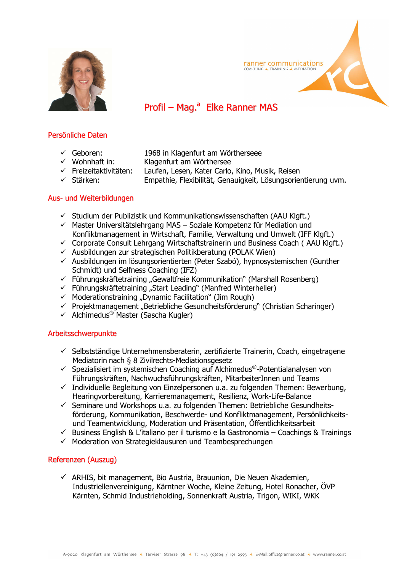

# **ranner communications**<br>COACHING A TRAINING A MEDIATION

# Profil – Mag.<sup>a</sup> Elke Ranner MAS

## Persönliche Daten

- Geboren: 1968 in Klagenfurt am Wörtherseee
- $\checkmark$  Wohnhaft in: Klagenfurt am Wörthersee
- Freizeitaktivitäten: Laufen, Lesen, Kater Carlo, Kino, Musik, Reisen
- $\checkmark$  Stärken: Empathie, Flexibilität, Genauigkeit, Lösungsorientierung uvm.

## Aus- und Weiterbildungen

- $\checkmark$  Studium der Publizistik und Kommunikationswissenschaften (AAU Klgft.)
- $\checkmark$  Master Universitätslehrgang MAS Soziale Kompetenz für Mediation und Konfliktmanagement in Wirtschaft, Familie, Verwaltung und Umwelt (IFF Klgft.)
- $\checkmark$  Corporate Consult Lehrgang Wirtschaftstrainerin und Business Coach (AAU Klgft.)
- $\overline{P}$  Ausbildungen zur strategischen Politikberatung (POLAK Wien)
- $\checkmark$  Ausbildungen im lösungsorientierten (Peter Szabó), hypnosystemischen (Gunther Schmidt) und Selfness Coaching (IFZ)
- $\checkmark$  Führungskräftetraining "Gewaltfreie Kommunikation" (Marshall Rosenberg)
- $\checkmark$  Führungskräftetraining "Start Leading" (Manfred Winterheller)
- $\checkmark$  Moderationstraining "Dynamic Facilitation" (Jim Rough)
- $\checkmark$  Projektmanagement "Betriebliche Gesundheitsförderung" (Christian Scharinger)
- $\checkmark$  Alchimedus<sup>®</sup> Master (Sascha Kugler)

## Arbeitsschwerpunkte

- $\checkmark$  Selbstständige Unternehmensberaterin, zertifizierte Trainerin, Coach, eingetragene Mediatorin nach § 8 Zivilrechts-Mediationsgesetz
- $\checkmark$  Spezialisiert im systemischen Coaching auf Alchimedus®-Potentialanalysen von Führungskräften, Nachwuchsführungskräften, MitarbeiterInnen und Teams
- $\checkmark$  Individuelle Begleitung von Einzelpersonen u.a. zu folgenden Themen: Bewerbung, Hearingvorbereitung, Karrieremanagement, Resilienz, Work-Life-Balance
- $\checkmark$  Seminare und Workshops u.a. zu folgenden Themen: Betriebliche Gesundheitsförderung, Kommunikation, Beschwerde- und Konfliktmanagement, Persönlichkeitsund Teamentwicklung, Moderation und Präsentation, Öffentlichkeitsarbeit
- $\checkmark$  Business English & L'italiano per il turismo e la Gastronomia Coachings & Trainings
- $\checkmark$  Moderation von Strategieklausuren und Teambesprechungen

## Referenzen (Auszug)

 $\checkmark$  ARHIS, bit management, Bio Austria, Brauunion, Die Neuen Akademien, Industriellenvereinigung, Kärntner Woche, Kleine Zeitung, Hotel Ronacher, ÖVP Kärnten, Schmid Industrieholding, Sonnenkraft Austria, Trigon, WIKI, WKK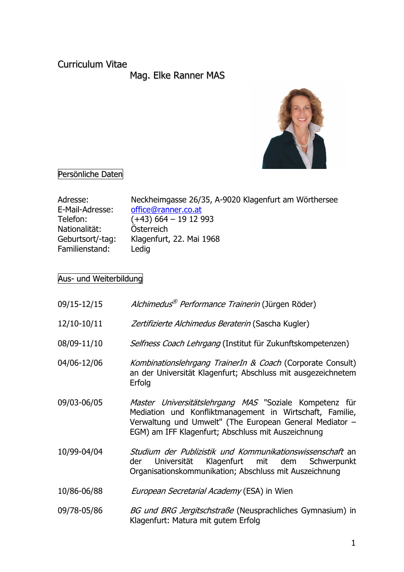# Curriculum Vitae

Mag. Elke Ranner MAS



#### $\overline{a}$ Persönliche Daten

| Adresse:         | Neckheimgasse 26/35, A-9020 Klagenfurt am Wörthersee |
|------------------|------------------------------------------------------|
| E-Mail-Adresse:  | office@ranner.co.at                                  |
| Telefon:         | $(+43)$ 664 - 19 12 993                              |
| Nationalität:    | Österreich                                           |
| Geburtsort/-tag: | Klagenfurt, 22. Mai 1968                             |
| Familienstand:   | Ledig                                                |

# Aus- und Weiterbildung

| 09/15-12/15 | Alchimedus <sup>®</sup> Performance Trainerin (Jürgen Röder)                                                                                                                                                                        |
|-------------|-------------------------------------------------------------------------------------------------------------------------------------------------------------------------------------------------------------------------------------|
| 12/10-10/11 | Zertifizierte Alchimedus Beraterin (Sascha Kugler)                                                                                                                                                                                  |
| 08/09-11/10 | Selfness Coach Lehrgang (Institut für Zukunftskompetenzen)                                                                                                                                                                          |
| 04/06-12/06 | Kombinationslehrgang TrainerIn & Coach (Corporate Consult)<br>an der Universität Klagenfurt; Abschluss mit ausgezeichnetem<br>Erfolg                                                                                                |
| 09/03-06/05 | Master Universitätslehrgang MAS "Soziale Kompetenz für<br>Mediation und Konfliktmanagement in Wirtschaft, Familie,<br>Verwaltung und Umwelt" (The European General Mediator -<br>EGM) am IFF Klagenfurt; Abschluss mit Auszeichnung |
| 10/99-04/04 | Studium der Publizistik und Kommunikationswissenschaft an<br>Klagenfurt mit dem Schwerpunkt<br>Universität<br>der<br>Organisationskommunikation; Abschluss mit Auszeichnung                                                         |
| 10/86-06/88 | <i>European Secretarial Academy</i> (ESA) in Wien                                                                                                                                                                                   |
| 09/78-05/86 | BG und BRG Jergitschstraße (Neusprachliches Gymnasium) in<br>Klagenfurt: Matura mit gutem Erfolg                                                                                                                                    |